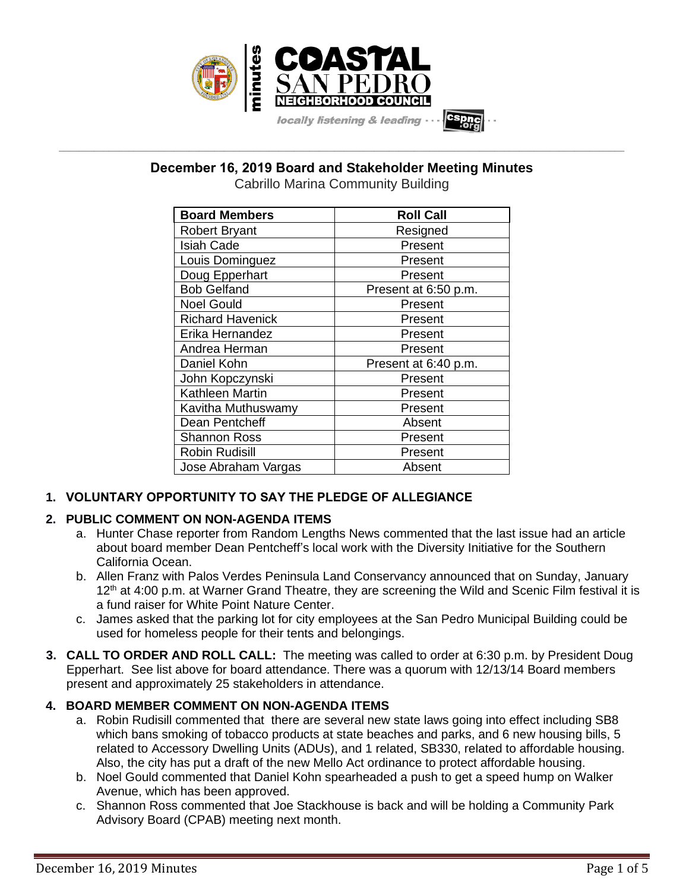

# **December 16, 2019 Board and Stakeholder Meeting Minutes**

**\_\_\_\_\_\_\_\_\_\_\_\_\_\_\_\_\_\_\_\_\_\_\_\_\_\_\_\_\_\_\_\_\_\_\_\_\_\_\_\_\_\_\_\_\_\_\_\_\_\_\_\_\_\_\_\_\_\_\_\_\_\_\_\_\_\_\_\_\_\_\_\_\_\_\_\_\_\_\_\_\_\_\_\_\_\_\_\_\_\_\_\_\_\_\_\_\_\_\_\_\_\_\_\_\_\_\_\_\_\_\_\_\_**

Cabrillo Marina Community Building

| <b>Board Members</b>    | <b>Roll Call</b>     |
|-------------------------|----------------------|
| <b>Robert Bryant</b>    | Resigned             |
| <b>Isiah Cade</b>       | Present              |
| Louis Dominguez         | Present              |
| Doug Epperhart          | Present              |
| <b>Bob Gelfand</b>      | Present at 6:50 p.m. |
| <b>Noel Gould</b>       | Present              |
| <b>Richard Havenick</b> | Present              |
| Erika Hernandez         | Present              |
| Andrea Herman           | Present              |
| Daniel Kohn             | Present at 6:40 p.m. |
| John Kopczynski         | Present              |
| Kathleen Martin         | Present              |
| Kavitha Muthuswamy      | Present              |
| Dean Pentcheff          | Absent               |
| <b>Shannon Ross</b>     | Present              |
| Robin Rudisill          | Present              |
| Jose Abraham Vargas     | Absent               |

## **1. VOLUNTARY OPPORTUNITY TO SAY THE PLEDGE OF ALLEGIANCE**

## **2. PUBLIC COMMENT ON NON-AGENDA ITEMS**

- a. Hunter Chase reporter from Random Lengths News commented that the last issue had an article about board member Dean Pentcheff's local work with the Diversity Initiative for the Southern California Ocean.
- b. Allen Franz with Palos Verdes Peninsula Land Conservancy announced that on Sunday, January 12<sup>th</sup> at 4:00 p.m. at Warner Grand Theatre, they are screening the Wild and Scenic Film festival it is a fund raiser for White Point Nature Center.
- c. James asked that the parking lot for city employees at the San Pedro Municipal Building could be used for homeless people for their tents and belongings.
- **3. CALL TO ORDER AND ROLL CALL:** The meeting was called to order at 6:30 p.m. by President Doug Epperhart. See list above for board attendance. There was a quorum with 12/13/14 Board members present and approximately 25 stakeholders in attendance.

## **4. BOARD MEMBER COMMENT ON NON-AGENDA ITEMS**

- a. Robin Rudisill commented that there are several new state laws going into effect including SB8 which bans smoking of tobacco products at state beaches and parks, and 6 new housing bills, 5 related to Accessory Dwelling Units (ADUs), and 1 related, SB330, related to affordable housing. Also, the city has put a draft of the new Mello Act ordinance to protect affordable housing.
- b. Noel Gould commented that Daniel Kohn spearheaded a push to get a speed hump on Walker Avenue, which has been approved.
- c. Shannon Ross commented that Joe Stackhouse is back and will be holding a Community Park Advisory Board (CPAB) meeting next month.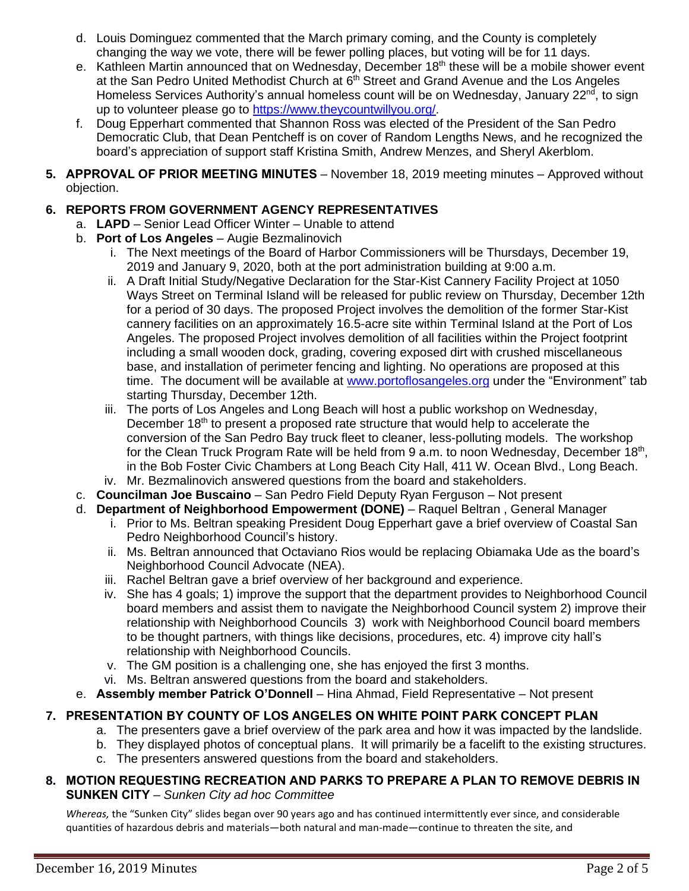- d. Louis Dominguez commented that the March primary coming, and the County is completely changing the way we vote, there will be fewer polling places, but voting will be for 11 days.
- e. Kathleen Martin announced that on Wednesday, December 18<sup>th</sup> these will be a mobile shower event at the San Pedro United Methodist Church at 6<sup>th</sup> Street and Grand Avenue and the Los Angeles Homeless Services Authority's annual homeless count will be on Wednesday, January 22<sup>nd</sup>, to sign up to volunteer please go to [https://www.theycountwillyou.org/.](https://www.theycountwillyou.org/)
- f. Doug Epperhart commented that Shannon Ross was elected of the President of the San Pedro Democratic Club, that Dean Pentcheff is on cover of Random Lengths News, and he recognized the board's appreciation of support staff Kristina Smith, Andrew Menzes, and Sheryl Akerblom.
- **5. APPROVAL OF PRIOR MEETING MINUTES** November 18, 2019 meeting minutes Approved without objection.

## **6. REPORTS FROM GOVERNMENT AGENCY REPRESENTATIVES**

- a. **LAPD** Senior Lead Officer Winter Unable to attend
- b. **Port of Los Angeles** Augie Bezmalinovich
	- i. The Next meetings of the Board of Harbor Commissioners will be Thursdays, December 19, 2019 and January 9, 2020, both at the port administration building at 9:00 a.m.
	- ii. A Draft Initial Study/Negative Declaration for the Star-Kist Cannery Facility Project at 1050 Ways Street on Terminal Island will be released for public review on Thursday, December 12th for a period of 30 days. The proposed Project involves the demolition of the former Star-Kist cannery facilities on an approximately 16.5-acre site within Terminal Island at the Port of Los Angeles. The proposed Project involves demolition of all facilities within the Project footprint including a small wooden dock, grading, covering exposed dirt with crushed miscellaneous base, and installation of perimeter fencing and lighting. No operations are proposed at this time. The document will be available at [www.portoflosangeles.org](http://www.portoflosangeles.org/) under the "Environment" tab starting Thursday, December 12th.
	- iii. The ports of Los Angeles and Long Beach will host a public workshop on Wednesday, December  $18<sup>th</sup>$  to present a proposed rate structure that would help to accelerate the conversion of the San Pedro Bay truck fleet to cleaner, less-polluting models. The workshop for the Clean Truck Program Rate will be held from 9 a.m. to noon Wednesday, December 18<sup>th</sup>, in the Bob Foster Civic Chambers at Long Beach City Hall, 411 W. Ocean Blvd., Long Beach.
	- iv. Mr. Bezmalinovich answered questions from the board and stakeholders.
- c. **Councilman Joe Buscaino** San Pedro Field Deputy Ryan Ferguson Not present
- d. **Department of Neighborhood Empowerment (DONE)** Raquel Beltran , General Manager
	- i. Prior to Ms. Beltran speaking President Doug Epperhart gave a brief overview of Coastal San Pedro Neighborhood Council's history.
	- ii. Ms. Beltran announced that Octaviano Rios would be replacing Obiamaka Ude as the board's Neighborhood Council Advocate (NEA).
	- iii. Rachel Beltran gave a brief overview of her background and experience.
	- iv. She has 4 goals; 1) improve the support that the department provides to Neighborhood Council board members and assist them to navigate the Neighborhood Council system 2) improve their relationship with Neighborhood Councils 3) work with Neighborhood Council board members to be thought partners, with things like decisions, procedures, etc. 4) improve city hall's relationship with Neighborhood Councils.
	- v. The GM position is a challenging one, she has enjoyed the first 3 months.
	- vi. Ms. Beltran answered questions from the board and stakeholders.
- e. **Assembly member Patrick O'Donnell** Hina Ahmad, Field Representative Not present

## **7. PRESENTATION BY COUNTY OF LOS ANGELES ON WHITE POINT PARK CONCEPT PLAN**

- a. The presenters gave a brief overview of the park area and how it was impacted by the landslide.
- b. They displayed photos of conceptual plans. It will primarily be a facelift to the existing structures.
- c. The presenters answered questions from the board and stakeholders.

### **8. MOTION REQUESTING RECREATION AND PARKS TO PREPARE A PLAN TO REMOVE DEBRIS IN SUNKEN CITY** – *Sunken City ad hoc Committee*

*Whereas,* the "Sunken City" slides began over 90 years ago and has continued intermittently ever since, and considerable quantities of hazardous debris and materials—both natural and man-made—continue to threaten the site, and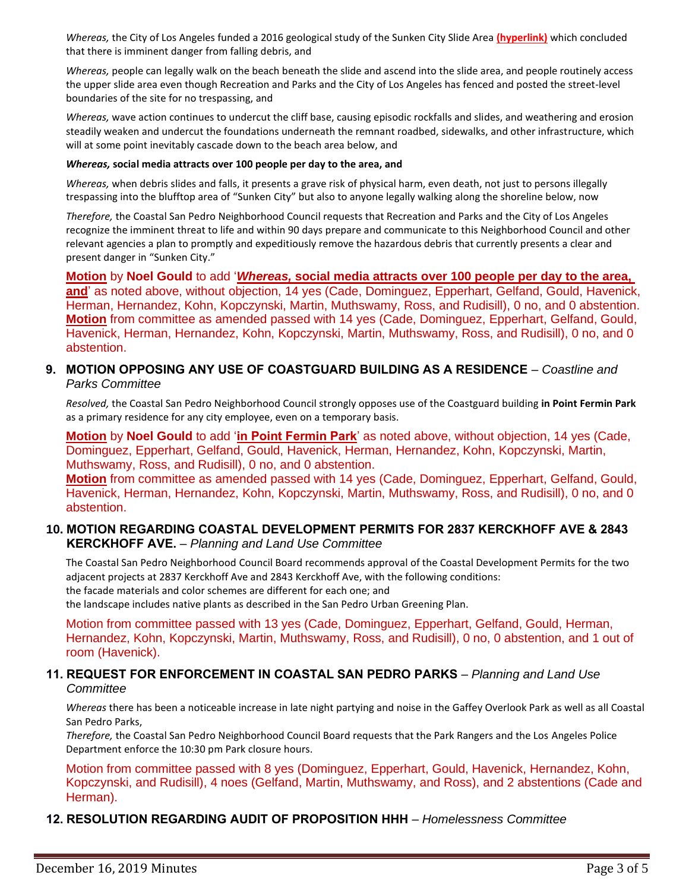*Whereas,* the City of Los Angeles funded a 2016 geological study of the Sunken City Slide Area **(hyperlink)** which concluded that there is imminent danger from falling debris, and

*Whereas,* people can legally walk on the beach beneath the slide and ascend into the slide area, and people routinely access the upper slide area even though Recreation and Parks and the City of Los Angeles has fenced and posted the street-level boundaries of the site for no trespassing, and

*Whereas,* wave action continues to undercut the cliff base, causing episodic rockfalls and slides, and weathering and erosion steadily weaken and undercut the foundations underneath the remnant roadbed, sidewalks, and other infrastructure, which will at some point inevitably cascade down to the beach area below, and

#### *Whereas,* **social media attracts over 100 people per day to the area, and**

*Whereas,* when debris slides and falls, it presents a grave risk of physical harm, even death, not just to persons illegally trespassing into the blufftop area of "Sunken City" but also to anyone legally walking along the shoreline below, now

*Therefore,* the Coastal San Pedro Neighborhood Council requests that Recreation and Parks and the City of Los Angeles recognize the imminent threat to life and within 90 days prepare and communicate to this Neighborhood Council and other relevant agencies a plan to promptly and expeditiously remove the hazardous debris that currently presents a clear and present danger in "Sunken City."

**Motion** by **Noel Gould** to add '*Whereas,* **social media attracts over 100 people per day to the area, and**' as noted above, without objection, 14 yes (Cade, Dominguez, Epperhart, Gelfand, Gould, Havenick, Herman, Hernandez, Kohn, Kopczynski, Martin, Muthswamy, Ross, and Rudisill), 0 no, and 0 abstention. **Motion** from committee as amended passed with 14 yes (Cade, Dominguez, Epperhart, Gelfand, Gould, Havenick, Herman, Hernandez, Kohn, Kopczynski, Martin, Muthswamy, Ross, and Rudisill), 0 no, and 0 abstention.

#### **9. MOTION OPPOSING ANY USE OF COASTGUARD BUILDING AS A RESIDENCE** – *Coastline and Parks Committee*

*Resolved,* the Coastal San Pedro Neighborhood Council strongly opposes use of the Coastguard building **in Point Fermin Park** as a primary residence for any city employee, even on a temporary basis.

**Motion** by **Noel Gould** to add '**in Point Fermin Park**' as noted above, without objection, 14 yes (Cade, Dominguez, Epperhart, Gelfand, Gould, Havenick, Herman, Hernandez, Kohn, Kopczynski, Martin, Muthswamy, Ross, and Rudisill), 0 no, and 0 abstention.

**Motion** from committee as amended passed with 14 yes (Cade, Dominguez, Epperhart, Gelfand, Gould, Havenick, Herman, Hernandez, Kohn, Kopczynski, Martin, Muthswamy, Ross, and Rudisill), 0 no, and 0 abstention.

#### **10. MOTION REGARDING COASTAL DEVELOPMENT PERMITS FOR 2837 KERCKHOFF AVE & 2843 KERCKHOFF AVE.** – *Planning and Land Use Committee*

The Coastal San Pedro Neighborhood Council Board recommends approval of the Coastal Development Permits for the two adjacent projects at 2837 Kerckhoff Ave and 2843 Kerckhoff Ave, with the following conditions: the facade materials and color schemes are different for each one; and the landscape includes native plants as described in the San Pedro Urban Greening Plan.

Motion from committee passed with 13 yes (Cade, Dominguez, Epperhart, Gelfand, Gould, Herman, Hernandez, Kohn, Kopczynski, Martin, Muthswamy, Ross, and Rudisill), 0 no, 0 abstention, and 1 out of room (Havenick).

#### **11. REQUEST FOR ENFORCEMENT IN COASTAL SAN PEDRO PARKS** – *Planning and Land Use Committee*

*Whereas* there has been a noticeable increase in late night partying and noise in the Gaffey Overlook Park as well as all Coastal San Pedro Parks,

*Therefore,* the Coastal San Pedro Neighborhood Council Board requests that the Park Rangers and the Los Angeles Police Department enforce the 10:30 pm Park closure hours.

Motion from committee passed with 8 yes (Dominguez, Epperhart, Gould, Havenick, Hernandez, Kohn, Kopczynski, and Rudisill), 4 noes (Gelfand, Martin, Muthswamy, and Ross), and 2 abstentions (Cade and Herman).

#### **12. RESOLUTION REGARDING AUDIT OF PROPOSITION HHH** – *Homelessness Committee*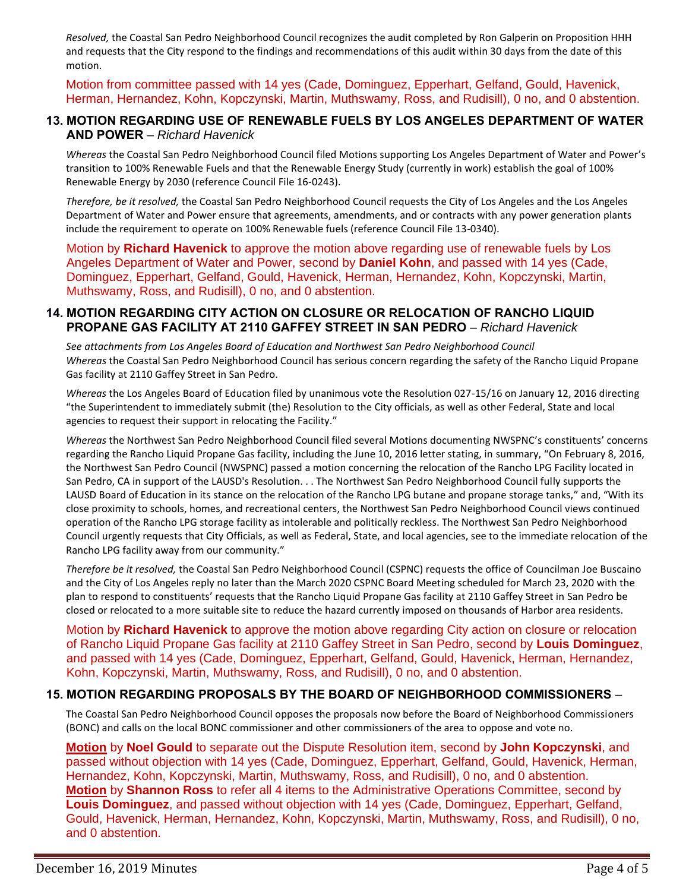*Resolved,* the Coastal San Pedro Neighborhood Council recognizes the audit completed by Ron Galperin on Proposition HHH and requests that the City respond to the findings and recommendations of this audit within 30 days from the date of this motion.

Motion from committee passed with 14 yes (Cade, Dominguez, Epperhart, Gelfand, Gould, Havenick, Herman, Hernandez, Kohn, Kopczynski, Martin, Muthswamy, Ross, and Rudisill), 0 no, and 0 abstention.

#### **13. MOTION REGARDING USE OF RENEWABLE FUELS BY LOS ANGELES DEPARTMENT OF WATER AND POWER** – *Richard Havenick*

*Whereas* the Coastal San Pedro Neighborhood Council filed Motions supporting Los Angeles Department of Water and Power's transition to 100% Renewable Fuels and that the Renewable Energy Study (currently in work) establish the goal of 100% Renewable Energy by 2030 (reference Council File 16-0243).

*Therefore, be it resolved,* the Coastal San Pedro Neighborhood Council requests the City of Los Angeles and the Los Angeles Department of Water and Power ensure that agreements, amendments, and or contracts with any power generation plants include the requirement to operate on 100% Renewable fuels (reference Council File 13-0340).

Motion by **Richard Havenick** to approve the motion above regarding use of renewable fuels by Los Angeles Department of Water and Power, second by **Daniel Kohn**, and passed with 14 yes (Cade, Dominguez, Epperhart, Gelfand, Gould, Havenick, Herman, Hernandez, Kohn, Kopczynski, Martin, Muthswamy, Ross, and Rudisill), 0 no, and 0 abstention.

#### **14. MOTION REGARDING CITY ACTION ON CLOSURE OR RELOCATION OF RANCHO LIQUID PROPANE GAS FACILITY AT 2110 GAFFEY STREET IN SAN PEDRO** – *Richard Havenick*

*See attachments from Los Angeles Board of Education and Northwest San Pedro Neighborhood Council Whereas* the Coastal San Pedro Neighborhood Council has serious concern regarding the safety of the Rancho Liquid Propane Gas facility at 2110 Gaffey Street in San Pedro.

*Whereas* the Los Angeles Board of Education filed by unanimous vote the Resolution 027-15/16 on January 12, 2016 directing "the Superintendent to immediately submit (the) Resolution to the City officials, as well as other Federal, State and local agencies to request their support in relocating the Facility."

*Whereas* the Northwest San Pedro Neighborhood Council filed several Motions documenting NWSPNC's constituents' concerns regarding the Rancho Liquid Propane Gas facility, including the June 10, 2016 letter stating, in summary, "On February 8, 2016, the Northwest San Pedro Council (NWSPNC) passed a motion concerning the relocation of the Rancho LPG Facility located in San Pedro, CA in support of the LAUSD's Resolution. . . The Northwest San Pedro Neighborhood Council fully supports the LAUSD Board of Education in its stance on the relocation of the Rancho LPG butane and propane storage tanks," and, "With its close proximity to schools, homes, and recreational centers, the Northwest San Pedro Neighborhood Council views continued operation of the Rancho LPG storage facility as intolerable and politically reckless. The Northwest San Pedro Neighborhood Council urgently requests that City Officials, as well as Federal, State, and local agencies, see to the immediate relocation of the Rancho LPG facility away from our community."

*Therefore be it resolved,* the Coastal San Pedro Neighborhood Council (CSPNC) requests the office of Councilman Joe Buscaino and the City of Los Angeles reply no later than the March 2020 CSPNC Board Meeting scheduled for March 23, 2020 with the plan to respond to constituents' requests that the Rancho Liquid Propane Gas facility at 2110 Gaffey Street in San Pedro be closed or relocated to a more suitable site to reduce the hazard currently imposed on thousands of Harbor area residents.

Motion by **Richard Havenick** to approve the motion above regarding City action on closure or relocation of Rancho Liquid Propane Gas facility at 2110 Gaffey Street in San Pedro, second by **Louis Dominguez**, and passed with 14 yes (Cade, Dominguez, Epperhart, Gelfand, Gould, Havenick, Herman, Hernandez, Kohn, Kopczynski, Martin, Muthswamy, Ross, and Rudisill), 0 no, and 0 abstention.

### **15. MOTION REGARDING PROPOSALS BY THE BOARD OF NEIGHBORHOOD COMMISSIONERS** –

The Coastal San Pedro Neighborhood Council opposes the proposals now before the Board of Neighborhood Commissioners (BONC) and calls on the local BONC commissioner and other commissioners of the area to oppose and vote no.

**Motion** by **Noel Gould** to separate out the Dispute Resolution item, second by **John Kopczynski**, and passed without objection with 14 yes (Cade, Dominguez, Epperhart, Gelfand, Gould, Havenick, Herman, Hernandez, Kohn, Kopczynski, Martin, Muthswamy, Ross, and Rudisill), 0 no, and 0 abstention. **Motion** by **Shannon Ross** to refer all 4 items to the Administrative Operations Committee, second by **Louis Dominguez**, and passed without objection with 14 yes (Cade, Dominguez, Epperhart, Gelfand, Gould, Havenick, Herman, Hernandez, Kohn, Kopczynski, Martin, Muthswamy, Ross, and Rudisill), 0 no, and 0 abstention.